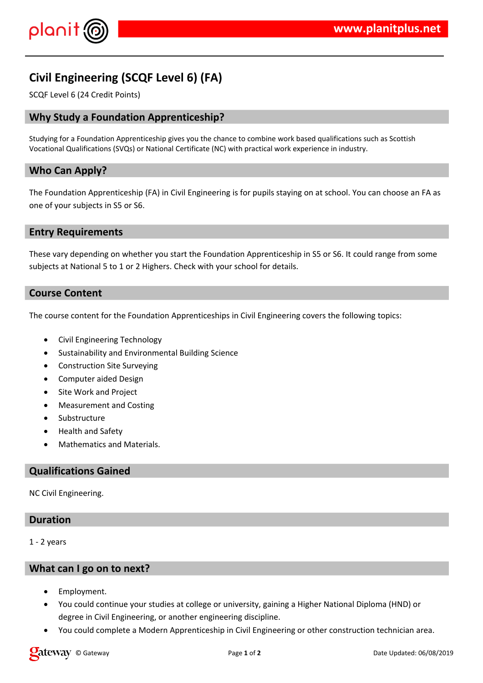

# **Civil Engineering (SCQF Level 6) (FA)**

SCQF Level 6 (24 Credit Points)

## **Why Study a Foundation Apprenticeship?**

Studying for a Foundation Apprenticeship gives you the chance to combine work based qualifications such as Scottish Vocational Qualifications (SVQs) or National Certificate (NC) with practical work experience in industry.

## **Who Can Apply?**

The Foundation Apprenticeship (FA) in Civil Engineering is for pupils staying on at school. You can choose an FA as one of your subjects in S5 or S6.

### **Entry Requirements**

These vary depending on whether you start the Foundation Apprenticeship in S5 or S6. It could range from some subjects at National 5 to 1 or 2 Highers. Check with your school for details.

### **Course Content**

The course content for the Foundation Apprenticeships in Civil Engineering covers the following topics:

- Civil Engineering Technology
- Sustainability and Environmental Building Science
- Construction Site Surveying
- Computer aided Design
- Site Work and Project
- Measurement and Costing
- Substructure
- Health and Safety
- Mathematics and Materials.

### **Qualifications Gained**

NC Civil Engineering.

## **Duration**

1 - 2 years

#### **What can I go on to next?**

- Employment.
- You could continue your studies at college or university, gaining a Higher National Diploma (HND) or degree in Civil Engineering, or another engineering discipline.
- You could complete a Modern Apprenticeship in Civil Engineering or other construction technician area.